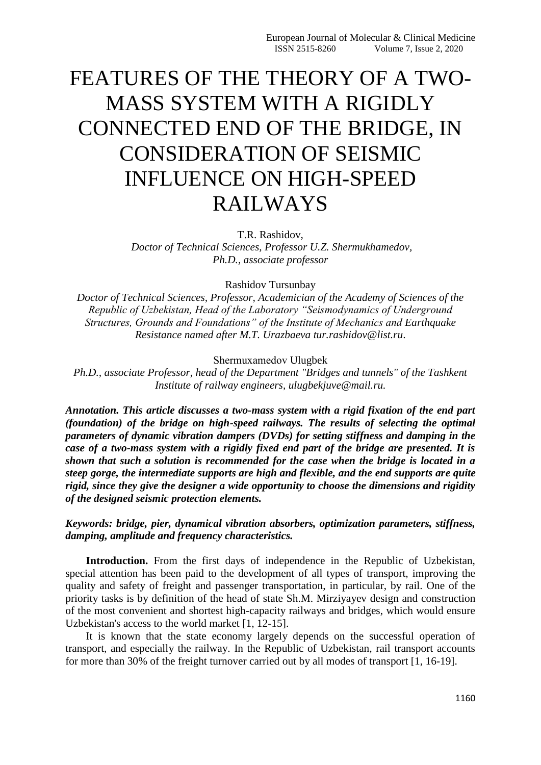## FEATURES OF THE THEORY OF A TWO-MASS SYSTEM WITH A RIGIDLY CONNECTED END OF THE BRIDGE, IN CONSIDERATION OF SEISMIC INFLUENCE ON HIGH-SPEED RAILWAYS

T.R. Rashidov,

*Doctor of Technical Sciences, Professor U.Z. Shermukhamedov, Ph.D., associate professor*

Rashidov Tursunbay

*Doctor of Technical Sciences, Professor, Academician of the Academy of Sciences of the Republic of Uzbekistan, Head of the Laboratory "Seismodynamics of Underground Structures, Grounds and Foundations" of the Institute of Mechanics and Earthquake Resistance named after M.T. Urazbaeva tur.rashidov@list.ru*.

Shermuхamedov Ulugbek

*Ph.D., associate Professor, head of the Department "Bridges and tunnels" of the Tashkent Institute of railway engineers, ulugbekjuve@mail.ru.*

*Annotation. This article discusses a two-mass system with a rigid fixation of the end part (foundation) of the bridge on high-speed railways. The results of selecting the optimal parameters of dynamic vibration dampers (DVDs) for setting stiffness and damping in the case of a two-mass system with a rigidly fixed end part of the bridge are presented. It is shown that such a solution is recommended for the case when the bridge is located in a steep gorge, the intermediate supports are high and flexible, and the end supports are quite rigid, since they give the designer a wide opportunity to choose the dimensions and rigidity of the designed seismic protection elements.* 

*Keywords: bridge, pier, dynamical vibration absorbers, optimization parameters, stiffness, damping, amplitude and frequency characteristics.*

**Introduction.** From the first days of independence in the Republic of Uzbekistan, special attention has been paid to the development of all types of transport, improving the quality and safety of freight and passenger transportation, in particular, by rail. One of the priority tasks is by definition of the head of state Sh.M. Mirziyayev design and construction of the most convenient and shortest high-capacity railways and bridges, which would ensure Uzbekistan's access to the world market [1, 12-15].

It is known that the state economy largely depends on the successful operation of transport, and especially the railway. In the Republic of Uzbekistan, rail transport accounts for more than 30% of the freight turnover carried out by all modes of transport [1, 16-19].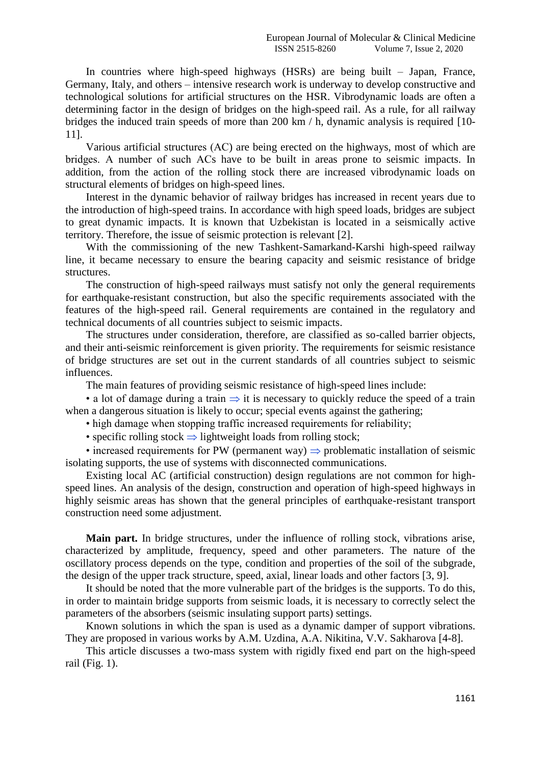In countries where high-speed highways (HSRs) are being built – Japan, France, Germany, Italy, and others – intensive research work is underway to develop constructive and technological solutions for artificial structures on the HSR. Vibrodynamic loads are often a determining factor in the design of bridges on the high-speed rail. As a rule, for all railway bridges the induced train speeds of more than 200 km / h, dynamic analysis is required [10- 11].

Various artificial structures (АС) are being erected on the highways, most of which are bridges. A number of such АСs have to be built in areas prone to seismic impacts. In addition, from the action of the rolling stock there are increased vibrodynamic loads on structural elements of bridges on high-speed lines.

Interest in the dynamic behavior of railway bridges has increased in recent years due to the introduction of high-speed trains. In accordance with high speed loads, bridges are subject to great dynamic impacts. It is known that Uzbekistan is located in a seismically active territory. Therefore, the issue of seismic protection is relevant [2].

With the commissioning of the new Tashkent-Samarkand-Karshi high-speed railway line, it became necessary to ensure the bearing capacity and seismic resistance of bridge structures.

The construction of high-speed railways must satisfy not only the general requirements for earthquake-resistant construction, but also the specific requirements associated with the features of the high-speed rail. General requirements are contained in the regulatory and technical documents of all countries subject to seismic impacts.

The structures under consideration, therefore, are classified as so-called barrier objects, and their anti-seismic reinforcement is given priority. The requirements for seismic resistance of bridge structures are set out in the current standards of all countries subject to seismic influences.

The main features of providing seismic resistance of high-speed lines include:

• a lot of damage during a train  $\Rightarrow$  it is necessary to quickly reduce the speed of a train when a dangerous situation is likely to occur; special events against the gathering;

• high damage when stopping traffic increased requirements for reliability;

• specific rolling stock  $\Rightarrow$  lightweight loads from rolling stock;

• increased requirements for PW (permanent way)  $\Rightarrow$  problematic installation of seismic isolating supports, the use of systems with disconnected communications.

Existing local AC (artificial construction) design regulations are not common for highspeed lines. An analysis of the design, construction and operation of high-speed highways in highly seismic areas has shown that the general principles of earthquake-resistant transport construction need some adjustment.

**Main part.** In bridge structures, under the influence of rolling stock, vibrations arise, characterized by amplitude, frequency, speed and other parameters. The nature of the oscillatory process depends on the type, condition and properties of the soil of the subgrade, the design of the upper track structure, speed, axial, linear loads and other factors [3, 9].

It should be noted that the more vulnerable part of the bridges is the supports. To do this, in order to maintain bridge supports from seismic loads, it is necessary to correctly select the parameters of the absorbers (seismic insulating support parts) settings.

Known solutions in which the span is used as a dynamic damper of support vibrations. They are proposed in various works by A.M. Uzdina, A.A. Nikitina, V.V. Sakharova [4-8].

This article discusses a two-mass system with rigidly fixed end part on the high-speed rail (Fig. 1).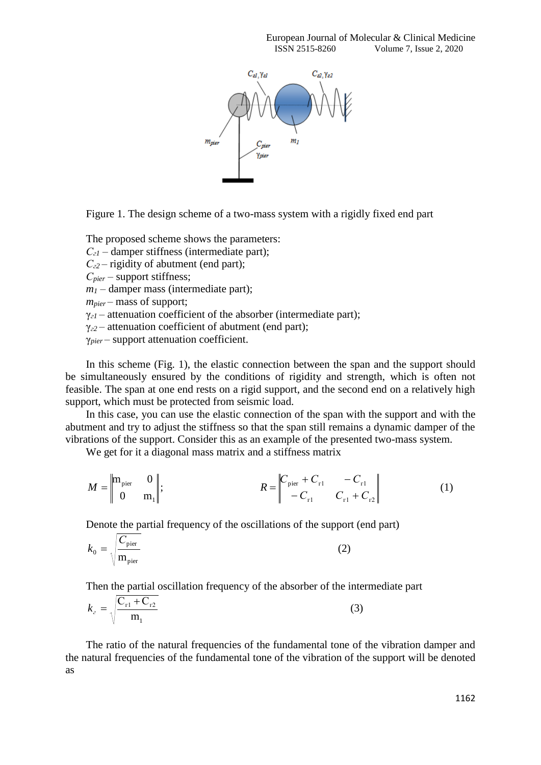

Figure 1. The design scheme of a two-mass system with a rigidly fixed end part

The proposed scheme shows the parameters: *Сг1* – damper stiffness (intermediate part); *Сг2* – rigidity of abutment (end part); *Сpier* – support stiffness;  $m<sub>1</sub>$  – damper mass (intermediate part); *mpier* – mass of support; γ*г1* – attenuation coefficient of the absorber (intermediate part); γ*г2* – attenuation coefficient of abutment (end part); γ*pier* – support attenuation coefficient.

In this scheme (Fig. 1), the elastic connection between the span and the support should be simultaneously ensured by the conditions of rigidity and strength, which is often not feasible. The span at one end rests on a rigid support, and the second end on a relatively high support, which must be protected from seismic load.

In this case, you can use the elastic connection of the span with the support and with the abutment and try to adjust the stiffness so that the span still remains a dynamic damper of the vibrations of the support. Consider this as an example of the presented two-mass system.

We get for it a diagonal mass matrix and a stiffness matrix

$$
M = \begin{vmatrix} m_{\text{pier}} & 0 \\ 0 & m_1 \end{vmatrix}; \qquad R = \begin{vmatrix} C_{\text{pier}} + C_{\text{r1}} & -C_{\text{r1}} \\ -C_{\text{r1}} & C_{\text{r1}} + C_{\text{r2}} \end{vmatrix}
$$
 (1)

Denote the partial frequency of the oscillations of the support (end part)

$$
k_0 = \sqrt{\frac{C_{\text{pier}}}{m_{\text{pier}}}}
$$
 (2)

Then the partial oscillation frequency of the absorber of the intermediate part

$$
k_{z} = \sqrt{\frac{C_{r1} + C_{r2}}{m_{1}}}
$$
 (3)

The ratio of the natural frequencies of the fundamental tone of the vibration damper and the natural frequencies of the fundamental tone of the vibration of the support will be denoted as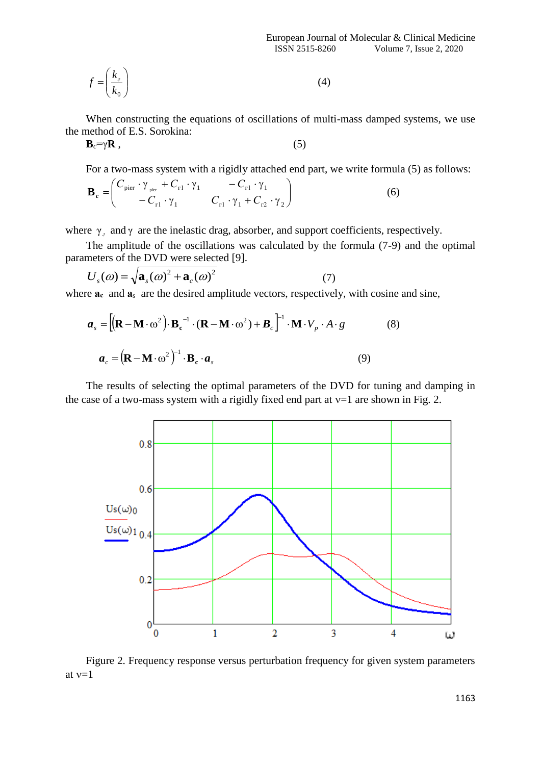European Journal of Molecular & Clinical Medicine ISSN 2515-8260 Volume 7, Issue 2, 2020

$$
f = \left(\frac{k_z}{k_0}\right) \tag{4}
$$

When constructing the equations of oscillations of multi-mass damped systems, we use the method of E.S. Sorokina:

$$
\mathbf{B}_c = \gamma \mathbf{R} \tag{5}
$$

For a two-mass system with a rigidly attached end part, we write formula (5) as follows:

$$
\mathbf{B}_{c} = \begin{pmatrix} C_{\text{pier}} \cdot \gamma_{\text{pier}} + C_{r1} \cdot \gamma_{1} & -C_{r1} \cdot \gamma_{1} \\ -C_{r1} \cdot \gamma_{1} & C_{r1} \cdot \gamma_{1} + C_{r2} \cdot \gamma_{2} \end{pmatrix}
$$
(6)

where  $\gamma$ <sub>2</sub> and  $\gamma$  are the inelastic drag, absorber, and support coefficients, respectively.

The amplitude of the oscillations was calculated by the formula (7-9) and the optimal parameters of the DVD were selected [9].

$$
U_s(\omega) = \sqrt{\mathbf{a}_s(\omega)^2 + \mathbf{a}_c(\omega)^2}
$$
 (7)

where  $a_c$  and  $a_s$  are the desired amplitude vectors, respectively, with cosine and sine,

$$
\boldsymbol{a}_{s} = \left[ (\mathbf{R} - \mathbf{M} \cdot \omega^{2}) \cdot \mathbf{B}_{c}^{-1} \cdot (\mathbf{R} - \mathbf{M} \cdot \omega^{2}) + \boldsymbol{B}_{c} \right]^{-1} \cdot \mathbf{M} \cdot V_{p} \cdot A \cdot g \qquad (8)
$$

$$
\boldsymbol{a}_{c} = (\mathbf{R} - \mathbf{M} \cdot \omega^{2})^{-1} \cdot \mathbf{B}_{c} \cdot \boldsymbol{a}_{s} \qquad (9)
$$

The results of selecting the optimal parameters of the DVD for tuning and damping in the case of a two-mass system with a rigidly fixed end part at  $v=1$  are shown in Fig. 2.



Figure 2. Frequency response versus perturbation frequency for given system parameters at  $v=1$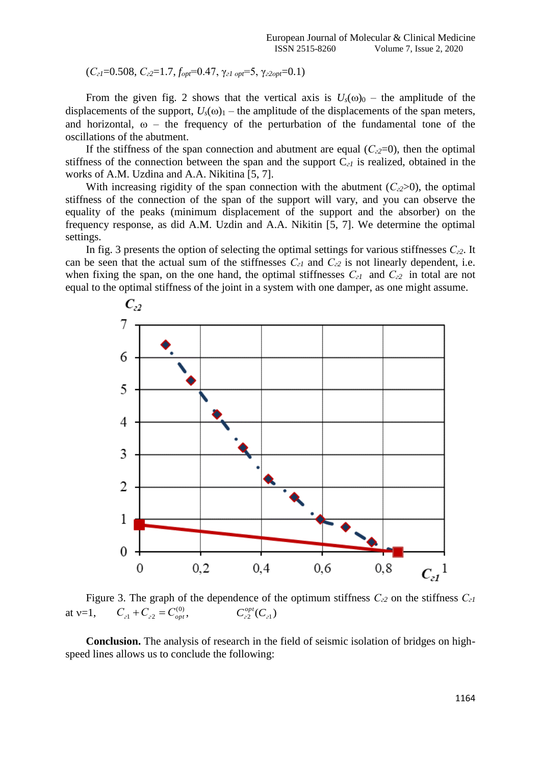(*Сг1*=0.508, *Сг2*=1.7, *fоpt*=0.47, γ*г1 оpt*=5, γ*г2оpt*=0.1)

From the given fig. 2 shows that the vertical axis is  $U_s(\omega)_0$  – the amplitude of the displacements of the support,  $U_s(\omega)$ <sub>1</sub> – the amplitude of the displacements of the span meters, and horizontal,  $\omega$  – the frequency of the perturbation of the fundamental tone of the oscillations of the abutment.

If the stiffness of the span connection and abutment are equal  $(C_{2}2=0)$ , then the optimal stiffness of the connection between the span and the support C*г1* is realized, obtained in the works of A.M. Uzdina and A.A. Nikitina [5, 7].

With increasing rigidity of the span connection with the abutment  $(C_{2} > 0)$ , the optimal stiffness of the connection of the span of the support will vary, and you can observe the equality of the peaks (minimum displacement of the support and the absorber) on the frequency response, as did A.M. Uzdin and A.A. Nikitin [5, 7]. We determine the optimal settings.

In fig. 3 presents the option of selecting the optimal settings for various stiffnesses *Сг2*. It can be seen that the actual sum of the stiffnesses *Сг1* and *Сг2* is not linearly dependent, i.e. when fixing the span, on the one hand, the optimal stiffnesses *Сг1* and *Сг2* in total are not equal to the optimal stiffness of the joint in a system with one damper, as one might assume.



Figure 3. The graph of the dependence of the optimum stiffness *Сг2* on the stiffness *Сг1*  at  $v=1$ ,  $C_{21} + C_{22} = C_{opt}^{(0)}$ ,  $C^{opt}_{22}(C_{21})$ 

**Conclusion.** The analysis of research in the field of seismic isolation of bridges on highspeed lines allows us to conclude the following: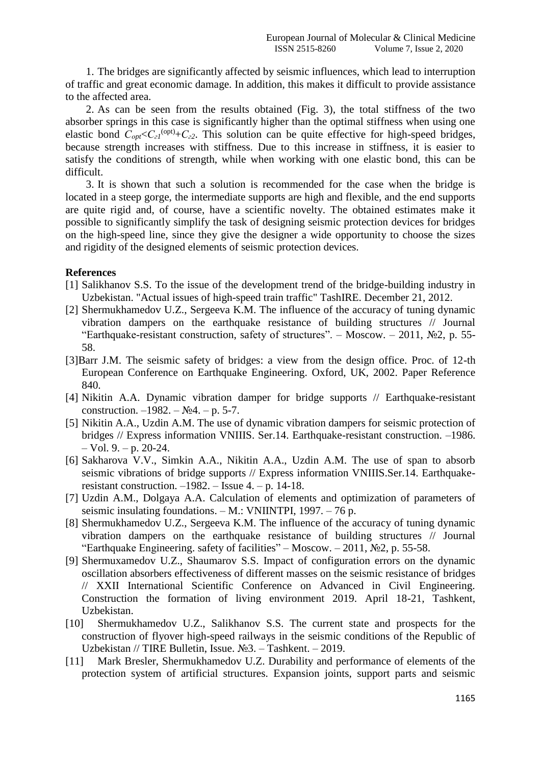1. The bridges are significantly affected by seismic influences, which lead to interruption of traffic and great economic damage. In addition, this makes it difficult to provide assistance to the affected area.

2. As can be seen from the results obtained (Fig. 3), the total stiffness of the two absorber springs in this case is significantly higher than the optimal stiffness when using one elastic bond  $C_{opt} < C_{c1}^{(opt)} + C_{c2}$ . This solution can be quite effective for high-speed bridges, because strength increases with stiffness. Due to this increase in stiffness, it is easier to satisfy the conditions of strength, while when working with one elastic bond, this can be difficult.

3. It is shown that such a solution is recommended for the case when the bridge is located in a steep gorge, the intermediate supports are high and flexible, and the end supports are quite rigid and, of course, have a scientific novelty. The obtained estimates make it possible to significantly simplify the task of designing seismic protection devices for bridges on the high-speed line, since they give the designer a wide opportunity to choose the sizes and rigidity of the designed elements of seismic protection devices.

## **References**

- [1] Salikhanov S.S. To the issue of the development trend of the bridge-building industry in Uzbekistan. "Actual issues of high-speed train traffic" TashIRE. December 21, 2012.
- [2] Shermukhamedov U.Z., Sergeeva K.M. The influence of the accuracy of tuning dynamic vibration dampers on the earthquake resistance of building structures // Journal "Earthquake-resistant construction, safety of structures". – Moscow. – 2011,  $\mathbb{N}^2$ , p. 55-58.
- [3]Barr J.M. The seismic safety of bridges: a view from the design office. Proc. of 12-th European Conference on Earthquake Engineering. Oxford, UK, 2002. Paper Reference 840.
- [4] Nikitin A.A. Dynamic vibration damper for bridge supports // Earthquake-resistant construction. –1982. –  $N_2$ 4. – p. 5-7.
- [5] Nikitin A.A., Uzdin A.M. The use of dynamic vibration dampers for seismic protection of bridges // Express information VNIIIS. Ser.14. Earthquake-resistant construction. –1986.  $-$  Vol. 9.  $-$  p. 20-24.
- [6] Sakharova V.V., Simkin A.A., Nikitin A.A., Uzdin A.M. The use of span to absorb seismic vibrations of bridge supports // Express information VNIIIS.Ser.14. Earthquakeresistant construction.  $-1982$ . – Issue 4. – p. 14-18.
- [7] Uzdin A.M., Dolgaya A.A. Calculation of elements and optimization of parameters of seismic insulating foundations. – M.: VNIINTPI, 1997. – 76 p.
- [8] Shermukhamedov U.Z., Sergeeva K.M. The influence of the accuracy of tuning dynamic vibration dampers on the earthquake resistance of building structures // Journal "Earthquake Engineering. safety of facilities" – Moscow. – 2011,  $N<sub>2</sub>$ , p. 55-58.
- [9] Shermuxamedov U.Z., Shaumarov S.S. Impact of configuration errors on the dynamic oscillation absorbers effectiveness of different masses on the seismic resistance of bridges // XXII International Scientific Conference on Advanced in Civil Engineering. Construction the formation of living environment 2019. April 18-21, Tashkent, Uzbekistan.
- [10] Shermukhamedov U.Z., Salikhanov S.S. The current state and prospects for the construction of flyover high-speed railways in the seismic conditions of the Republic of Uzbekistan // TIRE Bulletin, Issue. №3. – Tashkent. – 2019.
- [11] Mark Bresler, Shermukhamedov U.Z. Durability and performance of elements of the protection system of artificial structures. Expansion joints, support parts and seismic